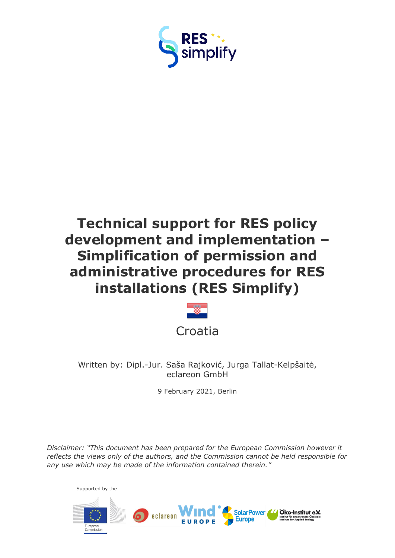

# **Technical support for RES policy development and implementation – Simplification of permission and administrative procedures for RES installations (RES Simplify)**



Written by: Dipl.-Jur. Saša Rajković, Jurga Tallat-Kelpšaitė, eclareon GmbH

9 February 2021, Berlin

*Disclaimer: "This document has been prepared for the European Commission however it reflects the views only of the authors, and the Commission cannot be held responsible for any use which may be made of the information contained therein."*

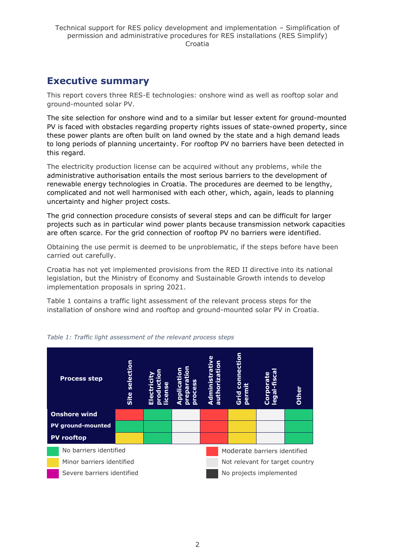# <span id="page-1-0"></span>**Executive summary**

This report covers three RES-E technologies: onshore wind as well as rooftop solar and ground-mounted solar PV.

The site selection for onshore wind and to a similar but lesser extent for ground-mounted PV is faced with obstacles regarding property rights issues of state-owned property, since these power plants are often built on land owned by the state and a high demand leads to long periods of planning uncertainty. For rooftop PV no barriers have been detected in this regard.

The electricity production license can be acquired without any problems, while the administrative authorisation entails the most serious barriers to the development of renewable energy technologies in Croatia. The procedures are deemed to be lengthy, complicated and not well harmonised with each other, which, again, leads to planning uncertainty and higher project costs.

The grid connection procedure consists of several steps and can be difficult for larger projects such as in particular wind power plants because transmission network capacities are often scarce. For the grid connection of rooftop PV no barriers were identified.

Obtaining the use permit is deemed to be unproblematic, if the steps before have been carried out carefully.

Croatia has not yet implemented provisions from the RED II directive into its national legislation, but the Ministry of Economy and Sustainable Growth intends to develop implementation proposals in spring 2021.

Table 1 contains a traffic light assessment of the relevant process steps for the installation of onshore wind and rooftop and ground-mounted solar PV in Croatia.



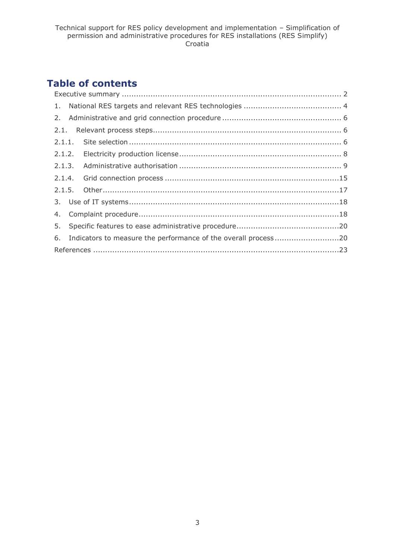# **Table of contents**

|  |  | 6. Indicators to measure the performance of the overall process20 |  |  |  |  |
|--|--|-------------------------------------------------------------------|--|--|--|--|
|  |  |                                                                   |  |  |  |  |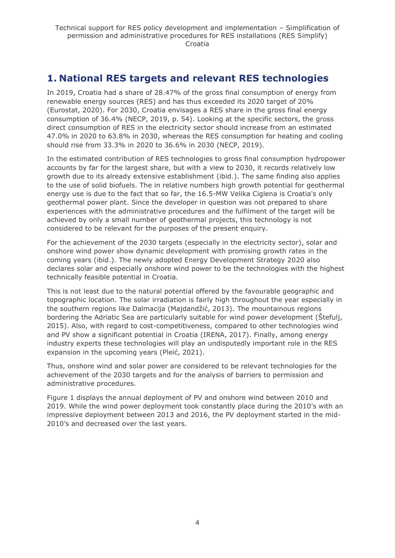# <span id="page-3-0"></span>**1. National RES targets and relevant RES technologies**

In 2019, Croatia had a share of 28.47% of the gross final consumption of energy from renewable energy sources (RES) and has thus exceeded its 2020 target of 20% (Eurostat, 2020). For 2030, Croatia envisages a RES share in the gross final energy consumption of 36.4% (NECP, 2019, p. 54). Looking at the specific sectors, the gross direct consumption of RES in the electricity sector should increase from an estimated 47.0% in 2020 to 63.8% in 2030, whereas the RES consumption for heating and cooling should rise from 33.3% in 2020 to 36.6% in 2030 (NECP, 2019).

In the estimated contribution of RES technologies to gross final consumption hydropower accounts by far for the largest share, but with a view to 2030, it records relatively low growth due to its already extensive establishment (ibid.). The same finding also applies to the use of solid biofuels. The in relative numbers high growth potential for geothermal energy use is due to the fact that so far, the 16.5-MW Velika Ciglena is Croatia's only geothermal power plant. Since the developer in question was not prepared to share experiences with the administrative procedures and the fulfilment of the target will be achieved by only a small number of geothermal projects, this technology is not considered to be relevant for the purposes of the present enquiry.

For the achievement of the 2030 targets (especially in the electricity sector), solar and onshore wind power show dynamic development with promising growth rates in the coming years (ibid.). The newly adopted Energy Development Strategy 2020 also declares solar and especially onshore wind power to be the technologies with the highest technically feasible potential in Croatia.

This is not least due to the natural potential offered by the favourable geographic and topographic location. The solar irradiation is fairly high throughout the year especially in the southern regions like Dalmacija (Majdandžić, 2013). The mountainous regions bordering the Adriatic Sea are particularly suitable for wind power development (Štefulj, 2015). Also, with regard to cost-competitiveness, compared to other technologies wind and PV show a significant potential in Croatia (IRENA, 2017). Finally, among energy industry experts these technologies will play an undisputedly important role in the RES expansion in the upcoming years (Pleić, 2021).

Thus, onshore wind and solar power are considered to be relevant technologies for the achievement of the 2030 targets and for the analysis of barriers to permission and administrative procedures.

Figure 1 displays the annual deployment of PV and onshore wind between 2010 and 2019. While the wind power deployment took constantly place during the 2010's with an impressive deployment between 2013 and 2016, the PV deployment started in the mid-2010's and decreased over the last years.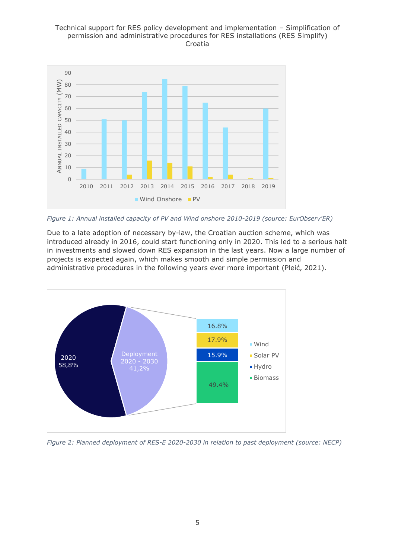#### Technical support for RES policy development and implementation – Simplification of permission and administrative procedures for RES installations (RES Simplify) Croatia



*Figure 1: Annual installed capacity of PV and Wind onshore 2010-2019 (source: EurObserv'ER)*

Due to a late adoption of necessary by-law, the Croatian auction scheme, which was introduced already in 2016, could start functioning only in 2020. This led to a serious halt in investments and slowed down RES expansion in the last years. Now a large number of projects is expected again, which makes smooth and simple permission and administrative procedures in the following years ever more important (Pleić, 2021).



*Figure 2: Planned deployment of RES-E 2020-2030 in relation to past deployment (source: NECP)*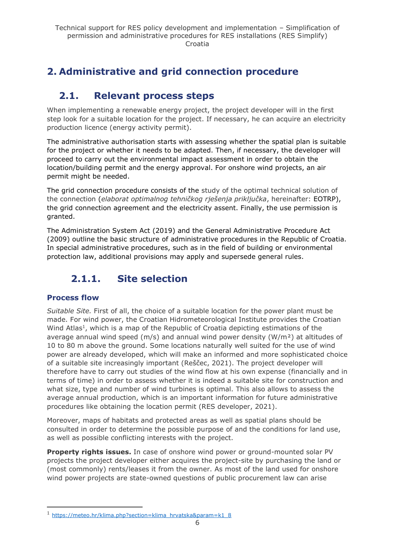# <span id="page-5-0"></span>**2. Administrative and grid connection procedure**

# <span id="page-5-1"></span>**2.1. Relevant process steps**

When implementing a renewable energy project, the project developer will in the first step look for a suitable location for the project. If necessary, he can acquire an electricity production licence (energy activity permit).

The administrative authorisation starts with assessing whether the spatial plan is suitable for the project or whether it needs to be adapted. Then, if necessary, the developer will proceed to carry out the environmental impact assessment in order to obtain the location/building permit and the energy approval. For onshore wind projects, an air permit might be needed.

The grid connection procedure consists of the study of the optimal technical solution of the connection (*elaborat optimalnog tehničkog rješenja priključka*, hereinafter: EOTRP), the grid connection agreement and the electricity assent. Finally, the use permission is granted.

The Administration System Act (2019) and the General Administrative Procedure Act (2009) outline the basic structure of administrative procedures in the Republic of Croatia. In special administrative procedures, such as in the field of building or environmental protection law, additional provisions may apply and supersede general rules.

# <span id="page-5-2"></span>**2.1.1. Site selection**

### **Process flow**

*Suitable Site.* First of all, the choice of a suitable location for the power plant must be made. For wind power, the Croatian Hidrometeorological Institute provides the Croatian Wind Atlas<sup>1</sup>, which is a map of the Republic of Croatia depicting estimations of the average annual wind speed ( $m/s$ ) and annual wind power density ( $W/m<sup>2</sup>$ ) at altitudes of 10 to 80 m above the ground. Some locations naturally well suited for the use of wind power are already developed, which will make an informed and more sophisticated choice of a suitable site increasingly important (Reščec, 2021). The project developer will therefore have to carry out studies of the wind flow at his own expense (financially and in terms of time) in order to assess whether it is indeed a suitable site for construction and what size, type and number of wind turbines is optimal. This also allows to assess the average annual production, which is an important information for future administrative procedures like obtaining the location permit (RES developer, 2021).

Moreover, maps of habitats and protected areas as well as spatial plans should be consulted in order to determine the possible purpose of and the conditions for land use, as well as possible conflicting interests with the project.

**Property rights issues.** In case of onshore wind power or ground-mounted solar PV projects the project developer either acquires the project-site by purchasing the land or (most commonly) rents/leases it from the owner. As most of the land used for onshore wind power projects are state-owned questions of public procurement law can arise

<sup>1</sup> [https://meteo.hr/klima.php?section=klima\\_hrvatska&param=k1\\_8](https://meteo.hr/klima.php?section=klima_hrvatska¶m=k1_8)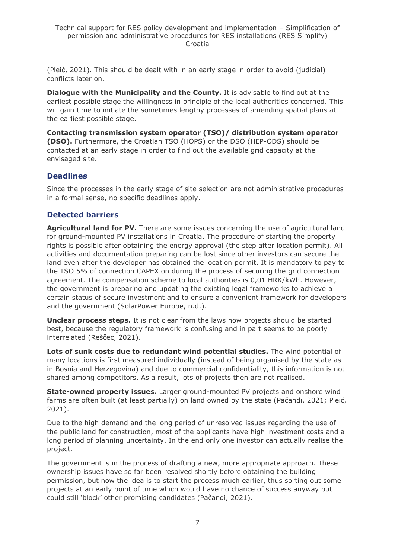(Pleić, 2021). This should be dealt with in an early stage in order to avoid (judicial) conflicts later on.

**Dialogue with the Municipality and the County.** It is advisable to find out at the earliest possible stage the willingness in principle of the local authorities concerned. This will gain time to initiate the sometimes lengthy processes of amending spatial plans at the earliest possible stage.

**Contacting transmission system operator (TSO)/ distribution system operator (DSO).** Furthermore, the Croatian TSO (HOPS) or the DSO (HEP-ODS) should be contacted at an early stage in order to find out the available grid capacity at the envisaged site.

#### **Deadlines**

Since the processes in the early stage of site selection are not administrative procedures in a formal sense, no specific deadlines apply.

### **Detected barriers**

**Agricultural land for PV.** There are some issues concerning the use of agricultural land for ground-mounted PV installations in Croatia. The procedure of starting the property rights is possible after obtaining the energy approval (the step after location permit). All activities and documentation preparing can be lost since other investors can secure the land even after the developer has obtained the location permit. It is mandatory to pay to the TSO 5% of connection CAPEX on during the process of securing the grid connection agreement. The compensation scheme to local authorities is 0,01 HRK/kWh. However, the government is preparing and updating the existing legal frameworks to achieve a certain status of secure investment and to ensure a convenient framework for developers and the government (SolarPower Europe, n.d.).

**Unclear process steps.** It is not clear from the laws how projects should be started best, because the regulatory framework is confusing and in part seems to be poorly interrelated (Reščec, 2021).

**Lots of sunk costs due to redundant wind potential studies.** The wind potential of many locations is first measured individually (instead of being organised by the state as in Bosnia and Herzegovina) and due to commercial confidentiality, this information is not shared among competitors. As a result, lots of projects then are not realised.

**State-owned property issues.** Larger ground-mounted PV projects and onshore wind farms are often built (at least partially) on land owned by the state (Pačandi, 2021; Pleić, 2021).

Due to the high demand and the long period of unresolved issues regarding the use of the public land for construction, most of the applicants have high investment costs and a long period of planning uncertainty. In the end only one investor can actually realise the project.

The government is in the process of drafting a new, more appropriate approach. These ownership issues have so far been resolved shortly before obtaining the building permission, but now the idea is to start the process much earlier, thus sorting out some projects at an early point of time which would have no chance of success anyway but could still 'block' other promising candidates (Pačandi, 2021).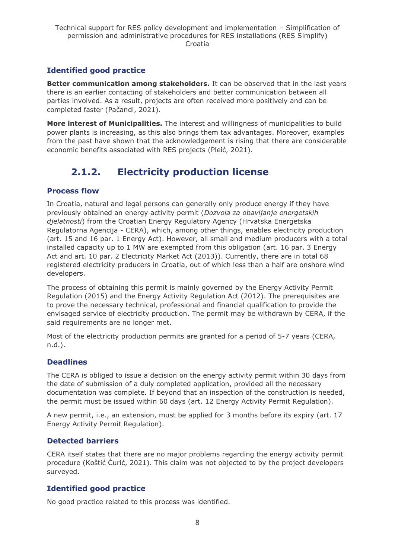# **Identified good practice**

**Better communication among stakeholders.** It can be observed that in the last years there is an earlier contacting of stakeholders and better communication between all parties involved. As a result, projects are often received more positively and can be completed faster (Pačandi, 2021).

**More interest of Municipalities.** The interest and willingness of municipalities to build power plants is increasing, as this also brings them tax advantages. Moreover, examples from the past have shown that the acknowledgement is rising that there are considerable economic benefits associated with RES projects (Pleić, 2021).

# **2.1.2. Electricity production license**

### <span id="page-7-0"></span>**Process flow**

In Croatia, natural and legal persons can generally only produce energy if they have previously obtained an energy activity permit (*Dozvola za obavljanje energetskih djelatnosti*) from the Croatian Energy Regulatory Agency (Hrvatska Energetska Regulatorna Agencija - CERA), which, among other things, enables electricity production (art. 15 and 16 par. 1 Energy Act). However, all small and medium producers with a total installed capacity up to 1 MW are exempted from this obligation (art. 16 par. 3 Energy Act and art. 10 par. 2 Electricity Market Act (2013)). Currently, there are in total 68 registered electricity producers in Croatia, out of which less than a half are onshore wind developers.

The process of obtaining this permit is mainly governed by the Energy Activity Permit Regulation (2015) and the Energy Activity Regulation Act (2012). The prerequisites are to prove the necessary technical, professional and financial qualification to provide the envisaged service of electricity production. The permit may be withdrawn by CERA, if the said requirements are no longer met.

Most of the electricity production permits are granted for a period of 5-7 years (CERA, n.d.).

### **Deadlines**

The CERA is obliged to issue a decision on the energy activity permit within 30 days from the date of submission of a duly completed application, provided all the necessary documentation was complete. If beyond that an inspection of the construction is needed, the permit must be issued within 60 days (art. 12 Energy Activity Permit Regulation).

A new permit, i.e., an extension, must be applied for 3 months before its expiry (art. 17 Energy Activity Permit Regulation).

### **Detected barriers**

CERA itself states that there are no major problems regarding the energy activity permit procedure (Koštić Ćurić, 2021). This claim was not objected to by the project developers surveyed.

# **Identified good practice**

No good practice related to this process was identified.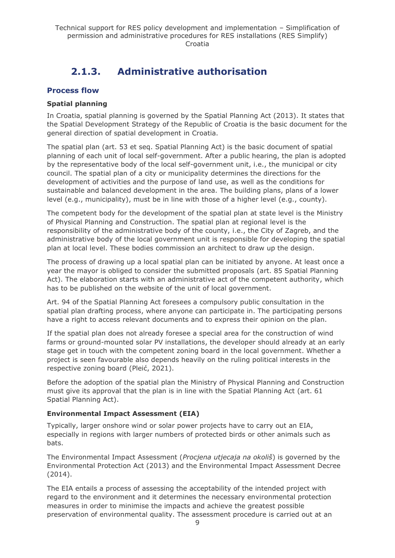# **2.1.3. Administrative authorisation**

### <span id="page-8-0"></span>**Process flow**

#### **Spatial planning**

In Croatia, spatial planning is governed by the Spatial Planning Act (2013). It states that the Spatial Development Strategy of the Republic of Croatia is the basic document for the general direction of spatial development in Croatia.

The spatial plan (art. 53 et seq. Spatial Planning Act) is the basic document of spatial planning of each unit of local self-government. After a public hearing, the plan is adopted by the representative body of the local self-government unit, i.e., the municipal or city council. The spatial plan of a city or municipality determines the directions for the development of activities and the purpose of land use, as well as the conditions for sustainable and balanced development in the area. The building plans, plans of a lower level (e.g., municipality), must be in line with those of a higher level (e.g., county).

The competent body for the development of the spatial plan at state level is the Ministry of Physical Planning and Construction. The spatial plan at regional level is the responsibility of the administrative body of the county, i.e., the City of Zagreb, and the administrative body of the local government unit is responsible for developing the spatial plan at local level. These bodies commission an architect to draw up the design.

The process of drawing up a local spatial plan can be initiated by anyone. At least once a year the mayor is obliged to consider the submitted proposals (art. 85 Spatial Planning Act). The elaboration starts with an administrative act of the competent authority, which has to be published on the website of the unit of local government.

Art. 94 of the Spatial Planning Act foresees a compulsory public consultation in the spatial plan drafting process, where anyone can participate in. The participating persons have a right to access relevant documents and to express their opinion on the plan.

If the spatial plan does not already foresee a special area for the construction of wind farms or ground-mounted solar PV installations, the developer should already at an early stage get in touch with the competent zoning board in the local government. Whether a project is seen favourable also depends heavily on the ruling political interests in the respective zoning board (Pleić, 2021).

Before the adoption of the spatial plan the Ministry of Physical Planning and Construction must give its approval that the plan is in line with the Spatial Planning Act (art. 61 Spatial Planning Act).

#### **Environmental Impact Assessment (EIA)**

Typically, larger onshore wind or solar power projects have to carry out an EIA, especially in regions with larger numbers of protected birds or other animals such as bats.

The Environmental Impact Assessment (*Procjena utjecaja na okoliš*) is governed by the Environmental Protection Act (2013) and the Environmental Impact Assessment Decree (2014).

The EIA entails a process of assessing the acceptability of the intended project with regard to the environment and it determines the necessary environmental protection measures in order to minimise the impacts and achieve the greatest possible preservation of environmental quality. The assessment procedure is carried out at an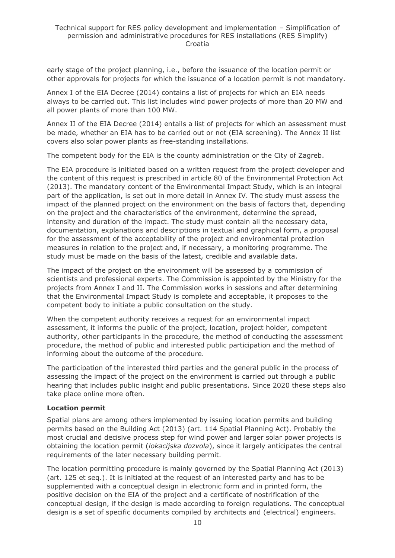early stage of the project planning, i.e., before the issuance of the location permit or other approvals for projects for which the issuance of a location permit is not mandatory.

Annex I of the EIA Decree (2014) contains a list of projects for which an EIA needs always to be carried out. This list includes wind power projects of more than 20 MW and all power plants of more than 100 MW.

Annex II of the EIA Decree (2014) entails a list of projects for which an assessment must be made, whether an EIA has to be carried out or not (EIA screening). The Annex II list covers also solar power plants as free-standing installations.

The competent body for the EIA is the county administration or the City of Zagreb.

The EIA procedure is initiated based on a written request from the project developer and the content of this request is prescribed in article 80 of the Environmental Protection Act (2013). The mandatory content of the Environmental Impact Study, which is an integral part of the application, is set out in more detail in Annex IV. The study must assess the impact of the planned project on the environment on the basis of factors that, depending on the project and the characteristics of the environment, determine the spread, intensity and duration of the impact. The study must contain all the necessary data, documentation, explanations and descriptions in textual and graphical form, a proposal for the assessment of the acceptability of the project and environmental protection measures in relation to the project and, if necessary, a monitoring programme. The study must be made on the basis of the latest, credible and available data.

The impact of the project on the environment will be assessed by a commission of scientists and professional experts. The Commission is appointed by the Ministry for the projects from Annex I and II. The Commission works in sessions and after determining that the Environmental Impact Study is complete and acceptable, it proposes to the competent body to initiate a public consultation on the study.

When the competent authority receives a request for an environmental impact assessment, it informs the public of the project, location, project holder, competent authority, other participants in the procedure, the method of conducting the assessment procedure, the method of public and interested public participation and the method of informing about the outcome of the procedure.

The participation of the interested third parties and the general public in the process of assessing the impact of the project on the environment is carried out through a public hearing that includes public insight and public presentations. Since 2020 these steps also take place online more often.

#### **Location permit**

Spatial plans are among others implemented by issuing location permits and building permits based on the Building Act (2013) (art. 114 Spatial Planning Act). Probably the most crucial and decisive process step for wind power and larger solar power projects is obtaining the location permit (*lokacijska dozvola*), since it largely anticipates the central requirements of the later necessary building permit.

The location permitting procedure is mainly governed by the Spatial Planning Act (2013) (art. 125 et seq.). It is initiated at the request of an interested party and has to be supplemented with a conceptual design in electronic form and in printed form, the positive decision on the EIA of the project and a certificate of nostrification of the conceptual design, if the design is made according to foreign regulations. The conceptual design is a set of specific documents compiled by architects and (electrical) engineers.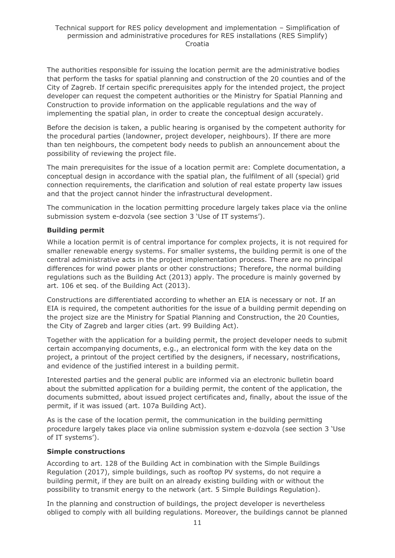The authorities responsible for issuing the location permit are the administrative bodies that perform the tasks for spatial planning and construction of the 20 counties and of the City of Zagreb. If certain specific prerequisites apply for the intended project, the project developer can request the competent authorities or the Ministry for Spatial Planning and Construction to provide information on the applicable regulations and the way of implementing the spatial plan, in order to create the conceptual design accurately.

Before the decision is taken, a public hearing is organised by the competent authority for the procedural parties (landowner, project developer, neighbours). If there are more than ten neighbours, the competent body needs to publish an announcement about the possibility of reviewing the project file.

The main prerequisites for the issue of a location permit are: Complete documentation, a conceptual design in accordance with the spatial plan, the fulfilment of all (special) grid connection requirements, the clarification and solution of real estate property law issues and that the project cannot hinder the infrastructural development.

The communication in the location permitting procedure largely takes place via the online submission system e-dozvola (see section 3 'Use of IT systems').

#### **Building permit**

While a location permit is of central importance for complex projects, it is not required for smaller renewable energy systems. For smaller systems, the building permit is one of the central administrative acts in the project implementation process. There are no principal differences for wind power plants or other constructions; Therefore, the normal building regulations such as the Building Act (2013) apply. The procedure is mainly governed by art. 106 et seq. of the Building Act (2013).

Constructions are differentiated according to whether an EIA is necessary or not. If an EIA is required, the competent authorities for the issue of a building permit depending on the project size are the Ministry for Spatial Planning and Construction, the 20 Counties, the City of Zagreb and larger cities (art. 99 Building Act).

Together with the application for a building permit, the project developer needs to submit certain accompanying documents, e.g., an electronical form with the key data on the project, a printout of the project certified by the designers, if necessary, nostrifications, and evidence of the justified interest in a building permit.

Interested parties and the general public are informed via an electronic bulletin board about the submitted application for a building permit, the content of the application, the documents submitted, about issued project certificates and, finally, about the issue of the permit, if it was issued (art. 107a Building Act).

As is the case of the location permit, the communication in the building permitting procedure largely takes place via online submission system e-dozvola (see section 3 'Use of IT systems').

#### **Simple constructions**

According to art. 128 of the Building Act in combination with the Simple Buildings Regulation (2017), simple buildings, such as rooftop PV systems, do not require a building permit, if they are built on an already existing building with or without the possibility to transmit energy to the network (art. 5 Simple Buildings Regulation).

In the planning and construction of buildings, the project developer is nevertheless obliged to comply with all building regulations. Moreover, the buildings cannot be planned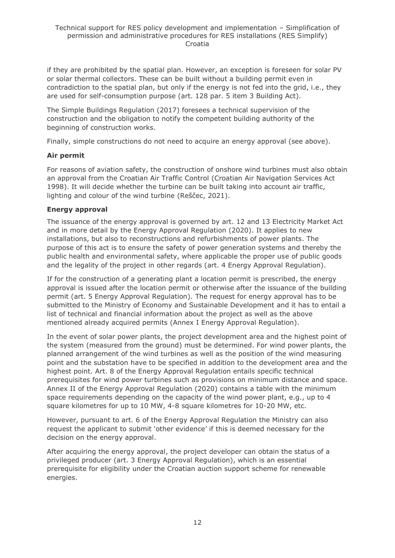if they are prohibited by the spatial plan. However, an exception is foreseen for solar PV or solar thermal collectors. These can be built without a building permit even in contradiction to the spatial plan, but only if the energy is not fed into the grid, i.e., they are used for self-consumption purpose (art. 128 par. 5 item 3 Building Act).

The Simple Buildings Regulation (2017) foresees a technical supervision of the construction and the obligation to notify the competent building authority of the beginning of construction works.

Finally, simple constructions do not need to acquire an energy approval (see above).

#### **Air permit**

For reasons of aviation safety, the construction of onshore wind turbines must also obtain an approval from the Croatian Air Traffic Control (Croatian Air Navigation Services Act 1998). It will decide whether the turbine can be built taking into account air traffic, lighting and colour of the wind turbine (Reščec, 2021).

#### **Energy approval**

The issuance of the energy approval is governed by art. 12 and 13 Electricity Market Act and in more detail by the Energy Approval Regulation (2020). It applies to new installations, but also to reconstructions and refurbishments of power plants. The purpose of this act is to ensure the safety of power generation systems and thereby the public health and environmental safety, where applicable the proper use of public goods and the legality of the project in other regards (art. 4 Energy Approval Regulation).

If for the construction of a generating plant a location permit is prescribed, the energy approval is issued after the location permit or otherwise after the issuance of the building permit (art. 5 Energy Approval Regulation). The request for energy approval has to be submitted to the Ministry of Economy and Sustainable Development and it has to entail a list of technical and financial information about the project as well as the above mentioned already acquired permits (Annex I Energy Approval Regulation).

In the event of solar power plants, the project development area and the highest point of the system (measured from the ground) must be determined. For wind power plants, the planned arrangement of the wind turbines as well as the position of the wind measuring point and the substation have to be specified in addition to the development area and the highest point. Art. 8 of the Energy Approval Regulation entails specific technical prerequisites for wind power turbines such as provisions on minimum distance and space. Annex II of the Energy Approval Regulation (2020) contains a table with the minimum space requirements depending on the capacity of the wind power plant, e.g., up to 4 square kilometres for up to 10 MW, 4-8 square kilometres for 10-20 MW, etc.

However, pursuant to art. 6 of the Energy Approval Regulation the Ministry can also request the applicant to submit 'other evidence' if this is deemed necessary for the decision on the energy approval.

After acquiring the energy approval, the project developer can obtain the status of a privileged producer (art. 3 Energy Approval Regulation), which is an essential prerequisite for eligibility under the Croatian auction support scheme for renewable energies.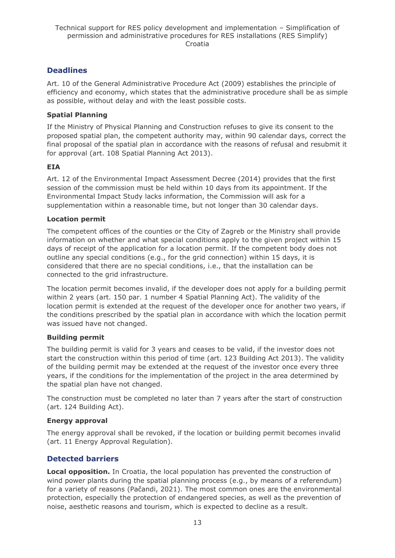# **Deadlines**

Art. 10 of the General Administrative Procedure Act (2009) establishes the principle of efficiency and economy, which states that the administrative procedure shall be as simple as possible, without delay and with the least possible costs.

### **Spatial Planning**

If the Ministry of Physical Planning and Construction refuses to give its consent to the proposed spatial plan, the competent authority may, within 90 calendar days, correct the final proposal of the spatial plan in accordance with the reasons of refusal and resubmit it for approval (art. 108 Spatial Planning Act 2013).

### **EIA**

Art. 12 of the Environmental Impact Assessment Decree (2014) provides that the first session of the commission must be held within 10 days from its appointment. If the Environmental Impact Study lacks information, the Commission will ask for a supplementation within a reasonable time, but not longer than 30 calendar days.

#### **Location permit**

The competent offices of the counties or the City of Zagreb or the Ministry shall provide information on whether and what special conditions apply to the given project within 15 days of receipt of the application for a location permit. If the competent body does not outline any special conditions (e.g., for the grid connection) within 15 days, it is considered that there are no special conditions, i.e., that the installation can be connected to the grid infrastructure.

The location permit becomes invalid, if the developer does not apply for a building permit within 2 years (art. 150 par. 1 number 4 Spatial Planning Act). The validity of the location permit is extended at the request of the developer once for another two years, if the conditions prescribed by the spatial plan in accordance with which the location permit was issued have not changed.

### **Building permit**

The building permit is valid for 3 years and ceases to be valid, if the investor does not start the construction within this period of time (art. 123 Building Act 2013). The validity of the building permit may be extended at the request of the investor once every three years, if the conditions for the implementation of the project in the area determined by the spatial plan have not changed.

The construction must be completed no later than 7 years after the start of construction (art. 124 Building Act).

### **Energy approval**

The energy approval shall be revoked, if the location or building permit becomes invalid (art. 11 Energy Approval Regulation).

# **Detected barriers**

**Local opposition.** In Croatia, the local population has prevented the construction of wind power plants during the spatial planning process (e.g., by means of a referendum) for a variety of reasons (Pačandi, 2021). The most common ones are the environmental protection, especially the protection of endangered species, as well as the prevention of noise, aesthetic reasons and tourism, which is expected to decline as a result.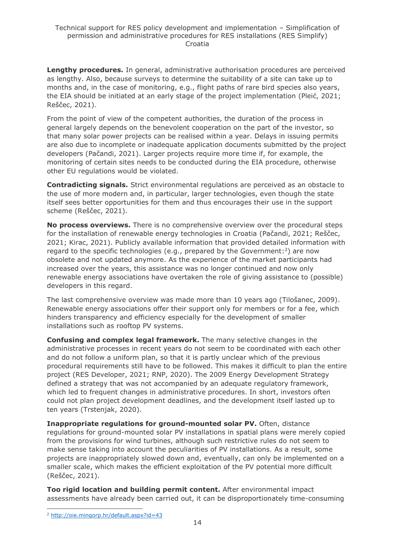**Lengthy procedures.** In general, administrative authorisation procedures are perceived as lengthy. Also, because surveys to determine the suitability of a site can take up to months and, in the case of monitoring, e.g., flight paths of rare bird species also years, the EIA should be initiated at an early stage of the project implementation (Pleić, 2021; Reščec, 2021).

From the point of view of the competent authorities, the duration of the process in general largely depends on the benevolent cooperation on the part of the investor, so that many solar power projects can be realised within a year. Delays in issuing permits are also due to incomplete or inadequate application documents submitted by the project developers (Pačandi, 2021). Larger projects require more time if, for example, the monitoring of certain sites needs to be conducted during the EIA procedure, otherwise other EU regulations would be violated.

**Contradicting signals.** Strict environmental regulations are perceived as an obstacle to the use of more modern and, in particular, larger technologies, even though the state itself sees better opportunities for them and thus encourages their use in the support scheme (Reščec, 2021).

**No process overviews.** There is no comprehensive overview over the procedural steps for the installation of renewable energy technologies in Croatia (Pačandi, 2021; Reščec, 2021; Kirac, 2021). Publicly available information that provided detailed information with regard to the specific technologies (e.g., prepared by the Government:<sup>2</sup>) are now obsolete and not updated anymore. As the experience of the market participants had increased over the years, this assistance was no longer continued and now only renewable energy associations have overtaken the role of giving assistance to (possible) developers in this regard.

The last comprehensive overview was made more than 10 years ago (Tilošanec, 2009). Renewable energy associations offer their support only for members or for a fee, which hinders transparency and efficiency especially for the development of smaller installations such as rooftop PV systems.

**Confusing and complex legal framework.** The many selective changes in the administrative processes in recent years do not seem to be coordinated with each other and do not follow a uniform plan, so that it is partly unclear which of the previous procedural requirements still have to be followed. This makes it difficult to plan the entire project (RES Developer, 2021; RNP, 2020). The 2009 Energy Development Strategy defined a strategy that was not accompanied by an adequate regulatory framework, which led to frequent changes in administrative procedures. In short, investors often could not plan project development deadlines, and the development itself lasted up to ten years (Trstenjak, 2020).

**Inappropriate regulations for ground-mounted solar PV.** Often, distance regulations for ground-mounted solar PV installations in spatial plans were merely copied from the provisions for wind turbines, although such restrictive rules do not seem to make sense taking into account the peculiarities of PV installations. As a result, some projects are inappropriately slowed down and, eventually, can only be implemented on a smaller scale, which makes the efficient exploitation of the PV potential more difficult (Reščec, 2021).

**Too rigid location and building permit content.** After environmental impact assessments have already been carried out, it can be disproportionately time-consuming

<sup>2</sup> <http://oie.mingorp.hr/default.aspx?id=43>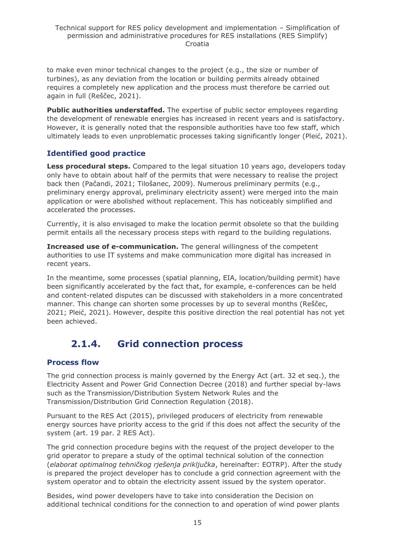to make even minor technical changes to the project (e.g., the size or number of turbines), as any deviation from the location or building permits already obtained requires a completely new application and the process must therefore be carried out again in full (Reščec, 2021).

**Public authorities understaffed.** The expertise of public sector employees regarding the development of renewable energies has increased in recent years and is satisfactory. However, it is generally noted that the responsible authorities have too few staff, which ultimately leads to even unproblematic processes taking significantly longer (Pleić, 2021).

# **Identified good practice**

**Less procedural steps.** Compared to the legal situation 10 years ago, developers today only have to obtain about half of the permits that were necessary to realise the project back then (Pačandi, 2021; Tilošanec, 2009). Numerous preliminary permits (e.g., preliminary energy approval, preliminary electricity assent) were merged into the main application or were abolished without replacement. This has noticeably simplified and accelerated the processes.

Currently, it is also envisaged to make the location permit obsolete so that the building permit entails all the necessary process steps with regard to the building regulations.

**Increased use of e-communication.** The general willingness of the competent authorities to use IT systems and make communication more digital has increased in recent years.

In the meantime, some processes (spatial planning, EIA, location/building permit) have been significantly accelerated by the fact that, for example, e-conferences can be held and content-related disputes can be discussed with stakeholders in a more concentrated manner. This change can shorten some processes by up to several months (Reščec, 2021; Pleić, 2021). However, despite this positive direction the real potential has not yet been achieved.

# **2.1.4. Grid connection process**

# <span id="page-14-0"></span>**Process flow**

The grid connection process is mainly governed by the Energy Act (art. 32 et seq.), the Electricity Assent and Power Grid Connection Decree (2018) and further special by-laws such as the Transmission/Distribution System Network Rules and the Transmission/Distribution Grid Connection Regulation (2018).

Pursuant to the RES Act (2015), privileged producers of electricity from renewable energy sources have priority access to the grid if this does not affect the security of the system (art. 19 par. 2 RES Act).

The grid connection procedure begins with the request of the project developer to the grid operator to prepare a study of the optimal technical solution of the connection (*elaborat optimalnog tehničkog rješenja priključka*, hereinafter: EOTRP). After the study is prepared the project developer has to conclude a grid connection agreement with the system operator and to obtain the electricity assent issued by the system operator.

Besides, wind power developers have to take into consideration the Decision on additional technical conditions for the connection to and operation of wind power plants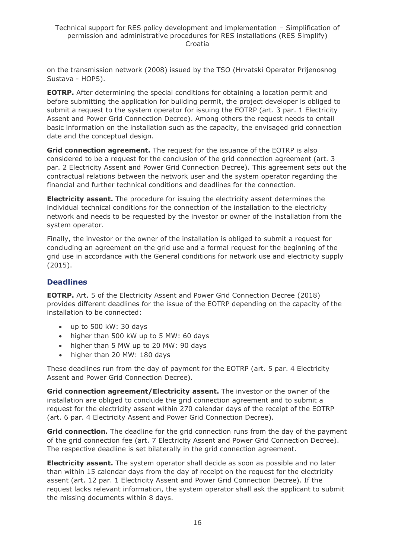on the transmission network (2008) issued by the TSO (Hrvatski Operator Prijenosnog Sustava - HOPS).

**EOTRP.** After determining the special conditions for obtaining a location permit and before submitting the application for building permit, the project developer is obliged to submit a request to the system operator for issuing the EOTRP (art. 3 par. 1 Electricity Assent and Power Grid Connection Decree). Among others the request needs to entail basic information on the installation such as the capacity, the envisaged grid connection date and the conceptual design.

**Grid connection agreement.** The request for the issuance of the EOTRP is also considered to be a request for the conclusion of the grid connection agreement (art. 3 par. 2 Electricity Assent and Power Grid Connection Decree). This agreement sets out the contractual relations between the network user and the system operator regarding the financial and further technical conditions and deadlines for the connection.

**Electricity assent.** The procedure for issuing the electricity assent determines the individual technical conditions for the connection of the installation to the electricity network and needs to be requested by the investor or owner of the installation from the system operator.

Finally, the investor or the owner of the installation is obliged to submit a request for concluding an agreement on the grid use and a formal request for the beginning of the grid use in accordance with the General conditions for network use and electricity supply (2015).

# **Deadlines**

**EOTRP.** Art. 5 of the Electricity Assent and Power Grid Connection Decree (2018) provides different deadlines for the issue of the EOTRP depending on the capacity of the installation to be connected:

- up to 500 kW: 30 days
- higher than 500 kW up to 5 MW: 60 days
- higher than 5 MW up to 20 MW: 90 days
- higher than 20 MW: 180 days

These deadlines run from the day of payment for the EOTRP (art. 5 par. 4 Electricity Assent and Power Grid Connection Decree).

**Grid connection agreement/Electricity assent.** The investor or the owner of the installation are obliged to conclude the grid connection agreement and to submit a request for the electricity assent within 270 calendar days of the receipt of the EOTRP (art. 6 par. 4 Electricity Assent and Power Grid Connection Decree).

**Grid connection.** The deadline for the grid connection runs from the day of the payment of the grid connection fee (art. 7 Electricity Assent and Power Grid Connection Decree). The respective deadline is set bilaterally in the grid connection agreement.

**Electricity assent.** The system operator shall decide as soon as possible and no later than within 15 calendar days from the day of receipt on the request for the electricity assent (art. 12 par. 1 Electricity Assent and Power Grid Connection Decree). If the request lacks relevant information, the system operator shall ask the applicant to submit the missing documents within 8 days.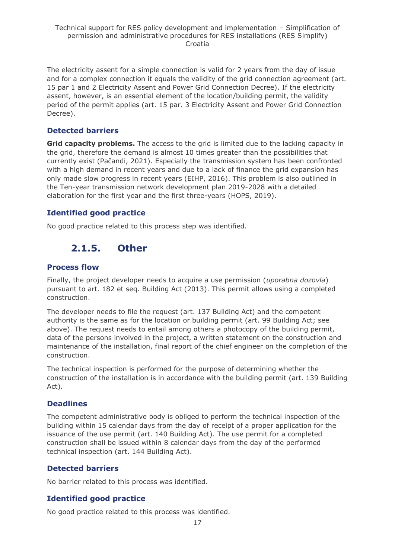The electricity assent for a simple connection is valid for 2 years from the day of issue and for a complex connection it equals the validity of the grid connection agreement (art. 15 par 1 and 2 Electricity Assent and Power Grid Connection Decree). If the electricity assent, however, is an essential element of the location/building permit, the validity period of the permit applies (art. 15 par. 3 Electricity Assent and Power Grid Connection Decree).

# **Detected barriers**

**Grid capacity problems.** The access to the grid is limited due to the lacking capacity in the grid, therefore the demand is almost 10 times greater than the possibilities that currently exist (Pačandi, 2021). Especially the transmission system has been confronted with a high demand in recent years and due to a lack of finance the grid expansion has only made slow progress in recent years (EIHP, 2016). This problem is also outlined in the Ten-year transmission network development plan 2019-2028 with a detailed elaboration for the first year and the first three-years (HOPS, 2019).

### **Identified good practice**

<span id="page-16-0"></span>No good practice related to this process step was identified.

# **2.1.5. Other**

#### **Process flow**

Finally, the project developer needs to acquire a use permission (*uporabna dozovla*) pursuant to art. 182 et seq. Building Act (2013). This permit allows using a completed construction.

The developer needs to file the request (art. 137 Building Act) and the competent authority is the same as for the location or building permit (art. 99 Building Act; see above). The request needs to entail among others a photocopy of the building permit, data of the persons involved in the project, a written statement on the construction and maintenance of the installation, final report of the chief engineer on the completion of the construction.

The technical inspection is performed for the purpose of determining whether the construction of the installation is in accordance with the building permit (art. 139 Building Act).

### **Deadlines**

The competent administrative body is obliged to perform the technical inspection of the building within 15 calendar days from the day of receipt of a proper application for the issuance of the use permit (art. 140 Building Act). The use permit for a completed construction shall be issued within 8 calendar days from the day of the performed technical inspection (art. 144 Building Act).

### **Detected barriers**

No barrier related to this process was identified.

### **Identified good practice**

No good practice related to this process was identified.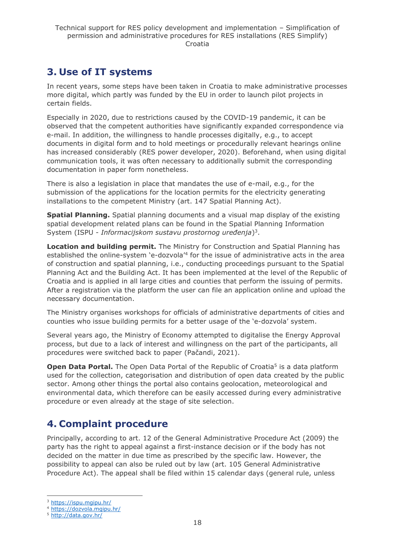# <span id="page-17-0"></span>**3. Use of IT systems**

In recent years, some steps have been taken in Croatia to make administrative processes more digital, which partly was funded by the EU in order to launch pilot projects in certain fields.

Especially in 2020, due to restrictions caused by the COVID-19 pandemic, it can be observed that the competent authorities have significantly expanded correspondence via e-mail. In addition, the willingness to handle processes digitally, e.g., to accept documents in digital form and to hold meetings or procedurally relevant hearings online has increased considerably (RES power developer, 2020). Beforehand, when using digital communication tools, it was often necessary to additionally submit the corresponding documentation in paper form nonetheless.

There is also a legislation in place that mandates the use of e-mail, e.g., for the submission of the applications for the location permits for the electricity generating installations to the competent Ministry (art. 147 Spatial Planning Act).

**Spatial Planning.** Spatial planning documents and a visual map display of the existing spatial development related plans can be found in the Spatial Planning Information System (ISPU - *Informacijskom sustavu prostornog uređenja*) 3 .

**Location and building permit.** The Ministry for Construction and Spatial Planning has established the online-system 'e-dozvola<sup>'4</sup> for the issue of administrative acts in the area of construction and spatial planning, i.e., conducting proceedings pursuant to the Spatial Planning Act and the Building Act. It has been implemented at the level of the Republic of Croatia and is applied in all large cities and counties that perform the issuing of permits. After a registration via the platform the user can file an application online and upload the necessary documentation.

The Ministry organises workshops for officials of administrative departments of cities and counties who issue building permits for a better usage of the 'e-dozvola' system.

Several years ago, the Ministry of Economy attempted to digitalise the Energy Approval process, but due to a lack of interest and willingness on the part of the participants, all procedures were switched back to paper (Pačandi, 2021).

**Open Data Portal.** The Open Data Portal of the Republic of Croatia<sup>5</sup> is a data platform used for the collection, categorisation and distribution of open data created by the public sector. Among other things the portal also contains geolocation, meteorological and environmental data, which therefore can be easily accessed during every administrative procedure or even already at the stage of site selection.

# <span id="page-17-1"></span>**4. Complaint procedure**

Principally, according to art. 12 of the General Administrative Procedure Act (2009) the party has the right to appeal against a first-instance decision or if the body has not decided on the matter in due time as prescribed by the specific law. However, the possibility to appeal can also be ruled out by law (art. 105 General Administrative Procedure Act). The appeal shall be filed within 15 calendar days (general rule, unless

<sup>3</sup> <https://ispu.mgipu.hr/>

<sup>4</sup> <https://dozvola.mgipu.hr/>

<sup>5</sup> <http://data.gov.hr/>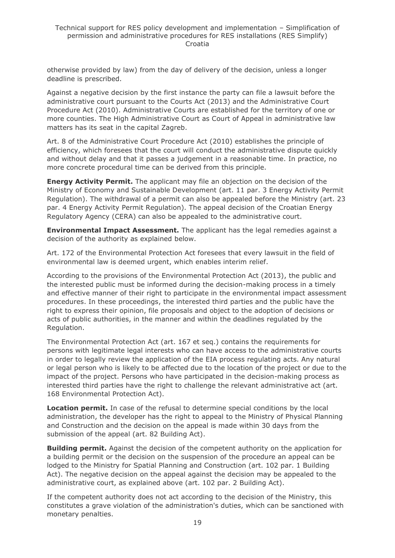otherwise provided by law) from the day of delivery of the decision, unless a longer deadline is prescribed.

Against a negative decision by the first instance the party can file a lawsuit before the administrative court pursuant to the Courts Act (2013) and the Administrative Court Procedure Act (2010). Administrative Courts are established for the territory of one or more counties. The High Administrative Court as Court of Appeal in administrative law matters has its seat in the capital Zagreb.

Art. 8 of the Administrative Court Procedure Act (2010) establishes the principle of efficiency, which foresees that the court will conduct the administrative dispute quickly and without delay and that it passes a judgement in a reasonable time. In practice, no more concrete procedural time can be derived from this principle.

**Energy Activity Permit.** The applicant may file an objection on the decision of the Ministry of Economy and Sustainable Development (art. 11 par. 3 Energy Activity Permit Regulation). The withdrawal of a permit can also be appealed before the Ministry (art. 23 par. 4 Energy Activity Permit Regulation). The appeal decision of the Croatian Energy Regulatory Agency (CERA) can also be appealed to the administrative court.

**Environmental Impact Assessment.** The applicant has the legal remedies against a decision of the authority as explained below.

Art. 172 of the Environmental Protection Act foresees that every lawsuit in the field of environmental law is deemed urgent, which enables interim relief.

According to the provisions of the Environmental Protection Act (2013), the public and the interested public must be informed during the decision-making process in a timely and effective manner of their right to participate in the environmental impact assessment procedures. In these proceedings, the interested third parties and the public have the right to express their opinion, file proposals and object to the adoption of decisions or acts of public authorities, in the manner and within the deadlines regulated by the Regulation.

The Environmental Protection Act (art. 167 et seq.) contains the requirements for persons with legitimate legal interests who can have access to the administrative courts in order to legally review the application of the EIA process regulating acts. Any natural or legal person who is likely to be affected due to the location of the project or due to the impact of the project. Persons who have participated in the decision-making process as interested third parties have the right to challenge the relevant administrative act (art. 168 Environmental Protection Act).

Location permit. In case of the refusal to determine special conditions by the local administration, the developer has the right to appeal to the Ministry of Physical Planning and Construction and the decision on the appeal is made within 30 days from the submission of the appeal (art. 82 Building Act).

**Building permit.** Against the decision of the competent authority on the application for a building permit or the decision on the suspension of the procedure an appeal can be lodged to the Ministry for Spatial Planning and Construction (art. 102 par. 1 Building Act). The negative decision on the appeal against the decision may be appealed to the administrative court, as explained above (art. 102 par. 2 Building Act).

If the competent authority does not act according to the decision of the Ministry, this constitutes a grave violation of the administration's duties, which can be sanctioned with monetary penalties.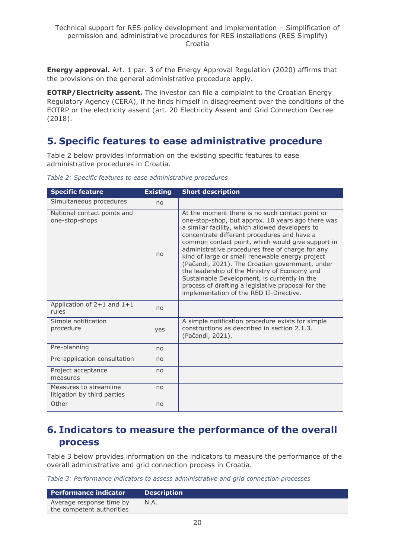**Energy approval.** Art. 1 par. 3 of the Energy Approval Regulation (2020) affirms that the provisions on the general administrative procedure apply.

**EOTRP/Electricity assent.** The investor can file a complaint to the Croatian Energy Regulatory Agency (CERA), if he finds himself in disagreement over the conditions of the EOTRP or the electricity assent (art. 20 Electricity Assent and Grid Connection Decree (2018).

# <span id="page-19-0"></span>**5. Specific features to ease administrative procedure**

Table 2 below provides information on the existing specific features to ease administrative procedures in Croatia.

| <b>Specific feature</b>                               | <b>Existing</b> | <b>Short description</b>                                                                                                                                                                                                                                                                                                                                                                                                                                                                                                                                                                                                |
|-------------------------------------------------------|-----------------|-------------------------------------------------------------------------------------------------------------------------------------------------------------------------------------------------------------------------------------------------------------------------------------------------------------------------------------------------------------------------------------------------------------------------------------------------------------------------------------------------------------------------------------------------------------------------------------------------------------------------|
| Simultaneous procedures                               | no              |                                                                                                                                                                                                                                                                                                                                                                                                                                                                                                                                                                                                                         |
| National contact points and<br>one-stop-shops         | no              | At the moment there is no such contact point or<br>one-stop-shop, but approx. 10 years ago there was<br>a similar facility, which allowed developers to<br>concentrate different procedures and have a<br>common contact point, which would give support in<br>administrative procedures free of charge for any<br>kind of large or small renewable energy project<br>(Pačandi, 2021). The Croatian government, under<br>the leadership of the Ministry of Economy and<br>Sustainable Development, is currently in the<br>process of drafting a legislative proposal for the<br>implementation of the RED II-Directive. |
| Application of $2+1$ and $1+1$<br>rules               | no              |                                                                                                                                                                                                                                                                                                                                                                                                                                                                                                                                                                                                                         |
| Simple notification<br>procedure                      | yes             | A simple notification procedure exists for simple<br>constructions as described in section 2.1.3.<br>(Pačandi, 2021).                                                                                                                                                                                                                                                                                                                                                                                                                                                                                                   |
| Pre-planning                                          | no              |                                                                                                                                                                                                                                                                                                                                                                                                                                                                                                                                                                                                                         |
| Pre-application consultation                          | no              |                                                                                                                                                                                                                                                                                                                                                                                                                                                                                                                                                                                                                         |
| Project acceptance<br>measures                        | no              |                                                                                                                                                                                                                                                                                                                                                                                                                                                                                                                                                                                                                         |
| Measures to streamline<br>litigation by third parties | no              |                                                                                                                                                                                                                                                                                                                                                                                                                                                                                                                                                                                                                         |
| Other                                                 | no              |                                                                                                                                                                                                                                                                                                                                                                                                                                                                                                                                                                                                                         |

*Table 2: Specific features to ease administrative procedures*

# <span id="page-19-1"></span>**6. Indicators to measure the performance of the overall process**

Table 3 below provides information on the indicators to measure the performance of the overall administrative and grid connection process in Croatia.

*Table 3: Performance indicators to assess administrative and grid connection processes*

| l Performance indicator   | <b>Description</b> |
|---------------------------|--------------------|
| Average response time by  | N.A.               |
| the competent authorities |                    |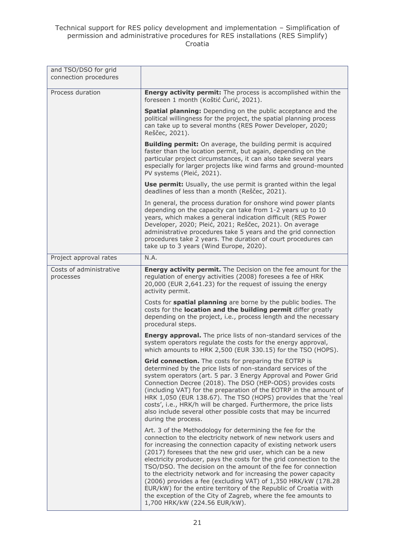#### Technical support for RES policy development and implementation – Simplification of permission and administrative procedures for RES installations (RES Simplify) Croatia

| and TSO/DSO for grid<br>connection procedures |                                                                                                                                                                                                                                                                                                                                                                                                                                                                                                                                                                                                                                                                                                                  |
|-----------------------------------------------|------------------------------------------------------------------------------------------------------------------------------------------------------------------------------------------------------------------------------------------------------------------------------------------------------------------------------------------------------------------------------------------------------------------------------------------------------------------------------------------------------------------------------------------------------------------------------------------------------------------------------------------------------------------------------------------------------------------|
| Process duration                              | Energy activity permit: The process is accomplished within the<br>foreseen 1 month (Koštić Ćurić, 2021).                                                                                                                                                                                                                                                                                                                                                                                                                                                                                                                                                                                                         |
|                                               | <b>Spatial planning:</b> Depending on the public acceptance and the<br>political willingness for the project, the spatial planning process<br>can take up to several months (RES Power Developer, 2020;<br>Reščec, 2021).                                                                                                                                                                                                                                                                                                                                                                                                                                                                                        |
|                                               | <b>Building permit:</b> On average, the building permit is acquired<br>faster than the location permit, but again, depending on the<br>particular project circumstances, it can also take several years<br>especially for larger projects like wind farms and ground-mounted<br>PV systems (Pleić, 2021).                                                                                                                                                                                                                                                                                                                                                                                                        |
|                                               | <b>Use permit:</b> Usually, the use permit is granted within the legal<br>deadlines of less than a month (Reščec, 2021).                                                                                                                                                                                                                                                                                                                                                                                                                                                                                                                                                                                         |
|                                               | In general, the process duration for onshore wind power plants<br>depending on the capacity can take from 1-2 years up to 10<br>years, which makes a general indication difficult (RES Power<br>Developer, 2020; Pleić, 2021; Reščec, 2021). On average<br>administrative procedures take 5 years and the grid connection<br>procedures take 2 years. The duration of court procedures can<br>take up to 3 years (Wind Europe, 2020).                                                                                                                                                                                                                                                                            |
| Project approval rates                        | N.A.                                                                                                                                                                                                                                                                                                                                                                                                                                                                                                                                                                                                                                                                                                             |
| Costs of administrative<br>processes          | Energy activity permit. The Decision on the fee amount for the<br>regulation of energy activities (2008) foresees a fee of HRK<br>20,000 (EUR 2,641.23) for the request of issuing the energy<br>activity permit.                                                                                                                                                                                                                                                                                                                                                                                                                                                                                                |
|                                               | Costs for <b>spatial planning</b> are borne by the public bodies. The<br>costs for the location and the building permit differ greatly<br>depending on the project, i.e., process length and the necessary<br>procedural steps.                                                                                                                                                                                                                                                                                                                                                                                                                                                                                  |
|                                               | <b>Energy approval.</b> The price lists of non-standard services of the<br>system operators regulate the costs for the energy approval,<br>which amounts to HRK 2,500 (EUR 330.15) for the TSO (HOPS).                                                                                                                                                                                                                                                                                                                                                                                                                                                                                                           |
|                                               | Grid connection. The costs for preparing the EOTRP is<br>determined by the price lists of non-standard services of the<br>system operators (art. 5 par. 3 Energy Approval and Power Grid<br>Connection Decree (2018). The DSO (HEP-ODS) provides costs<br>(including VAT) for the preparation of the EOTRP in the amount of<br>HRK 1,050 (EUR 138.67). The TSO (HOPS) provides that the 'real<br>costs', i.e., HRK/h will be charged. Furthermore, the price lists<br>also include several other possible costs that may be incurred<br>during the process.                                                                                                                                                      |
|                                               | Art. 3 of the Methodology for determining the fee for the<br>connection to the electricity network of new network users and<br>for increasing the connection capacity of existing network users<br>(2017) foresees that the new grid user, which can be a new<br>electricity producer, pays the costs for the grid connection to the<br>TSO/DSO. The decision on the amount of the fee for connection<br>to the electricity network and for increasing the power capacity<br>(2006) provides a fee (excluding VAT) of 1,350 HRK/kW (178.28<br>EUR/kW) for the entire territory of the Republic of Croatia with<br>the exception of the City of Zagreb, where the fee amounts to<br>1,700 HRK/kW (224.56 EUR/kW). |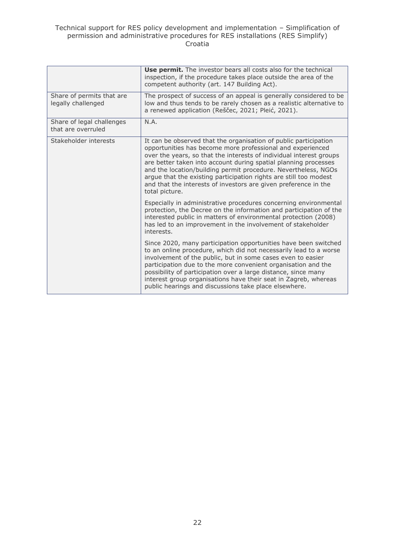#### Technical support for RES policy development and implementation – Simplification of permission and administrative procedures for RES installations (RES Simplify) Croatia

|                                                 | <b>Use permit.</b> The investor bears all costs also for the technical<br>inspection, if the procedure takes place outside the area of the<br>competent authority (art. 147 Building Act).                                                                                                                                                                                                                                                                                                           |
|-------------------------------------------------|------------------------------------------------------------------------------------------------------------------------------------------------------------------------------------------------------------------------------------------------------------------------------------------------------------------------------------------------------------------------------------------------------------------------------------------------------------------------------------------------------|
| Share of permits that are<br>legally challenged | The prospect of success of an appeal is generally considered to be<br>low and thus tends to be rarely chosen as a realistic alternative to<br>a renewed application (Reščec, 2021; Pleić, 2021).                                                                                                                                                                                                                                                                                                     |
| Share of legal challenges<br>that are overruled | N.A.                                                                                                                                                                                                                                                                                                                                                                                                                                                                                                 |
| Stakeholder interests                           | It can be observed that the organisation of public participation<br>opportunities has become more professional and experienced<br>over the years, so that the interests of individual interest groups<br>are better taken into account during spatial planning processes<br>and the location/building permit procedure. Nevertheless, NGOs<br>argue that the existing participation rights are still too modest<br>and that the interests of investors are given preference in the<br>total picture. |
|                                                 | Especially in administrative procedures concerning environmental<br>protection, the Decree on the information and participation of the<br>interested public in matters of environmental protection (2008)<br>has led to an improvement in the involvement of stakeholder<br>interests.                                                                                                                                                                                                               |
|                                                 | Since 2020, many participation opportunities have been switched<br>to an online procedure, which did not necessarily lead to a worse<br>involvement of the public, but in some cases even to easier<br>participation due to the more convenient organisation and the<br>possibility of participation over a large distance, since many<br>interest group organisations have their seat in Zagreb, whereas<br>public hearings and discussions take place elsewhere.                                   |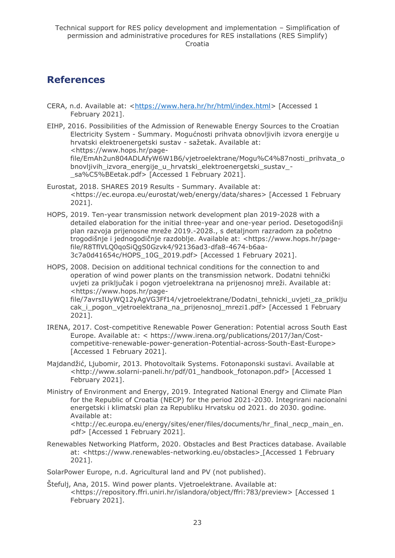# <span id="page-22-0"></span>**References**

- CERA, n.d. Available at: [<https://www.hera.hr/hr/html/index.html>](https://www.hera.hr/hr/html/index.html) [Accessed 1 February 2021].
- EIHP, 2016. Possibilities of the Admission of Renewable Energy Sources to the Croatian Electricity System - Summary. Mogućnosti prihvata obnovljivih izvora energije u hrvatski elektroenergetski sustav - sažetak. Available at: <https://www.hops.hr/pagefile/EmAh2un804ADLAfyW6W1B6/vjetroelektrane/Mogu%C4%87nosti\_prihvata\_o bnovljivih izvora energije u hrvatski elektroenergetski sustav -\_sa%C5%BEetak.pdf> [Accessed 1 February 2021].
- Eurostat, 2018. SHARES 2019 Results Summary. Available at: <https://ec.europa.eu/eurostat/web/energy/data/shares> [Accessed 1 February 2021].
- HOPS, 2019. Ten-year transmission network development plan 2019-2028 with a detailed elaboration for the initial three-year and one-year period. Desetogodišnji plan razvoja prijenosne mreže 2019.-2028., s detaljnom razradom za početno trogodišnje i jednogodičnje razdoblje. Available at: <https://www.hops.hr/pagefile/R8TflVLQ0qoSiQgS0Gzvk4/92136ad3-dfa8-4674-b6aa-3c7a0d41654c/HOPS\_10G\_2019.pdf> [Accessed 1 February 2021].

HOPS, 2008. Decision on additional technical conditions for the connection to and operation of wind power plants on the transmission network. Dodatni tehnički uvjeti za priključak i pogon vjetroelektrana na prijenosnoj mreži. Available at: <https://www.hops.hr/pagefile/7avrsIUyWQ12yAgVG3Ff14/vjetroelektrane/Dodatni\_tehnicki\_uvjeti\_za\_priklju cak i pogon vjetroelektrana na prijenosnoj mrezi1.pdf> [Accessed 1 February

2021].

- IRENA, 2017. Cost-competitive Renewable Power Generation: Potential across South East Europe. Available at: < https://www.irena.org/publications/2017/Jan/Costcompetitive-renewable-power-generation-Potential-across-South-East-Europe> [Accessed 1 February 2021].
- Majdandžić, Ljubomir, 2013. Photovoltaik Systems. Fotonaponski sustavi. Available at <http://www.solarni-paneli.hr/pdf/01\_handbook\_fotonapon.pdf> [Accessed 1 February 2021].
- Ministry of Environment and Energy, 2019. Integrated National Energy and Climate Plan for the Republic of Croatia (NECP) for the period 2021-2030. Integrirani nacionalni energetski i klimatski plan za Republiku Hrvatsku od 2021. do 2030. godine. Available at:

<http://ec.europa.eu/energy/sites/ener/files/documents/hr\_final\_necp\_main\_en. pdf> [Accessed 1 February 2021].

Renewables Networking Platform, 2020. Obstacles and Best Practices database. Available at: <https://www.renewables-networking.eu/obstacles> [Accessed 1 February 2021].

SolarPower Europe, n.d. Agricultural land and PV (not published).

Štefulj, Ana, 2015. Wind power plants. Vjetroelektrane. Available at: <https://repository.ffri.uniri.hr/islandora/object/ffri:783/preview> [Accessed 1 February 2021].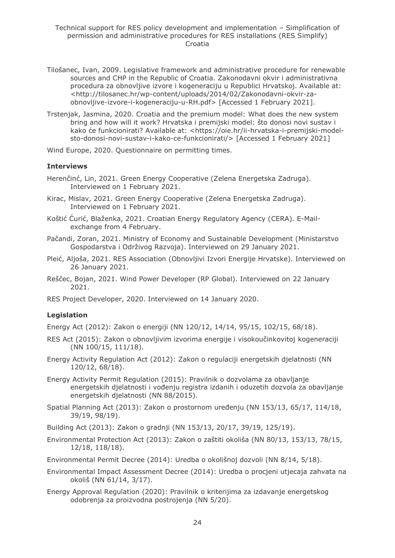- Tilošanec, Ivan, 2009. Legislative framework and administrative procedure for renewable sources and CHP in the Republic of Croatia. Zakonodavni okvir i administrativna procedura za obnovljive izvore i kogeneraciju u Republici Hrvatskoj. Available at: <http://tilosanec.hr/wp-content/uploads/2014/02/Zakonodavni-okvir-zaobnovljive-izvore-i-kogeneraciju-u-RH.pdf> [Accessed 1 February 2021].
- Trstenjak, Jasmina, 2020. Croatia and the premium model: What does the new system bring and how will it work? Hrvatska i premijski model: što donosi novi sustav i kako će funkcionirati? Available at: <https://oie.hr/ii-hrvatska-i-premijski-modelsto-donosi-novi-sustav-i-kako-ce-funkcionirati/> [Accessed 1 February 2021]

Wind Europe, 2020. Questionnaire on permitting times.

#### **Interviews**

- Herenčinć, Lin, 2021. Green Energy Cooperative (Zelena Energetska Zadruga). Interviewed on 1 February 2021.
- Kirac, Mislav, 2021. Green Energy Cooperative (Zelena Energetska Zadruga). Interviewed on 1 February 2021.
- Koštić Ćurić, Blaženka, 2021. Croatian Energy Regulatory Agency (CERA). E-Mailexchange from 4 February.
- Pačandi, Zoran, 2021. Ministry of Economy and Sustainable Development (Ministarstvo Gospodarstva i Održivog Razvoja). Interviewed on 29 January 2021.
- Pleić, Aljoša, 2021. RES Association (Obnovljivi Izvori Energije Hrvatske). Interviewed on 26 January 2021.
- Reščec, Bojan, 2021. Wind Power Developer (RP Global). Interviewed on 22 January 2021.
- RES Project Developer, 2020. Interviewed on 14 January 2020.

#### **Legislation**

Energy Act (2012): Zakon o energiji (NN 120/12, 14/14, 95/15, 102/15, 68/18).

- RES Act (2015): Zakon o obnovljivim izvorima energije i visokoučinkovitoj kogeneraciji (NN 100/15, 111/18).
- Energy Activity Regulation Act (2012): Zakon o regulaciji energetskih djelatnosti (NN 120/12, 68/18).
- Energy Activity Permit Regulation (2015): Pravilnik o dozvolama za obavljanje energetskih djelatnosti i vođenju registra izdanih i oduzetih dozvola za obavljanje energetskih djelatnosti (NN 88/2015).
- Spatial Planning Act (2013): Zakon o prostornom uređenju (NN 153/13, 65/17, 114/18, 39/19, 98/19).
- Building Act (2013): Zakon o gradnji (NN 153/13, 20/17, 39/19, 125/19).
- Environmental Protection Act (2013): Zakon o zaštiti okoliša (NN 80/13, 153/13, 78/15, 12/18, 118/18).

Environmental Permit Decree (2014): Uredba o okolišnoj dozvoli (NN 8/14, 5/18).

- Environmental Impact Assessment Decree (2014): Uredba o procjeni utjecaja zahvata na okoliš (NN 61/14, 3/17).
- Energy Approval Regulation (2020): Pravilnik o kriterijima za izdavanje energetskog odobrenja za proizvodna postrojenja (NN 5/20).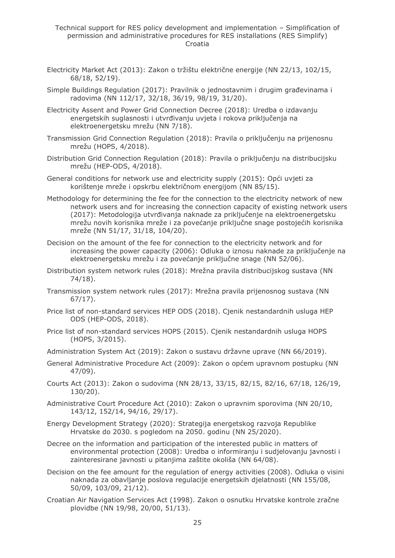- Electricity Market Act (2013): Zakon o tržištu električne energije (NN 22/13, 102/15, 68/18, 52/19).
- Simple Buildings Regulation (2017): Pravilnik o jednostavnim i drugim građevinama i radovima (NN 112/17, 32/18, 36/19, 98/19, 31/20).
- Electricity Assent and Power Grid Connection Decree (2018): Uredba o izdavanju energetskih suglasnosti i utvrđivanju uvjeta i rokova priključenja na elektroenergetsku mrežu (NN 7/18).
- Transmission Grid Connection Regulation (2018): Pravila o priključenju na prijenosnu mrežu (HOPS, 4/2018).
- Distribution Grid Connection Regulation (2018): Pravila o priključenju na distribucijsku mrežu (HEP-ODS, 4/2018).
- General conditions for network use and electricity supply (2015): Opći uvjeti za korištenje mreže i opskrbu električnom energijom (NN 85/15).
- Methodology for determining the fee for the connection to the electricity network of new network users and for increasing the connection capacity of existing network users (2017): Metodologija utvrđivanja naknade za priključenje na elektroenergetsku mrežu novih korisnika mreže i za povećanje priključne snage postojećih korisnika mreže (NN 51/17, 31/18, 104/20).
- Decision on the amount of the fee for connection to the electricity network and for increasing the power capacity (2006): Odluka o iznosu naknade za priključenje na elektroenergetsku mrežu i za povećanje priključne snage (NN 52/06).
- Distribution system network rules (2018): Mrežna pravila distribucijskog sustava (NN 74/18).
- Transmission system network rules (2017): Mrežna pravila prijenosnog sustava (NN 67/17).
- Price list of non-standard services HEP ODS (2018). Cjenik nestandardnih usluga HEP ODS (HEP-ODS, 2018).
- Price list of non-standard services HOPS (2015). Cjenik nestandardnih usluga HOPS (HOPS, 3/2015).
- Administration System Act (2019): Zakon o sustavu državne uprave (NN 66/2019).
- General Administrative Procedure Act (2009): Zakon o općem upravnom postupku (NN 47/09).
- Courts Act (2013): Zakon o sudovima (NN 28/13, 33/15, 82/15, 82/16, 67/18, 126/19, 130/20).
- Administrative Court Procedure Act (2010): Zakon o upravnim sporovima (NN 20/10, 143/12, 152/14, 94/16, 29/17).
- Energy Development Strategy (2020): Strategija energetskog razvoja Republike Hrvatske do 2030. s pogledom na 2050. godinu (NN 25/2020).
- Decree on the information and participation of the interested public in matters of environmental protection (2008): Uredba o informiranju i sudjelovanju javnosti i zainteresirane javnosti u pitanjima zaštite okoliša (NN 64/08).
- Decision on the fee amount for the regulation of energy activities (2008). Odluka o visini naknada za obavljanje poslova regulacije energetskih djelatnosti (NN 155/08, 50/09, 103/09, 21/12).
- Croatian Air Navigation Services Act (1998). Zakon o osnutku Hrvatske kontrole zračne plovidbe (NN 19/98, 20/00, 51/13).